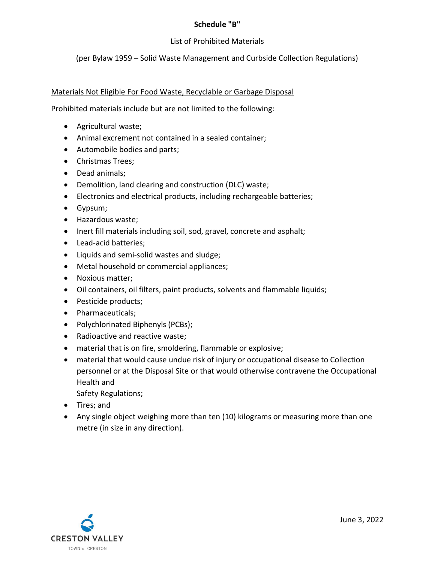#### Schedule "B"

# List of Prohibited Materials

# (per Bylaw 1959 – Solid Waste Management and Curbside Collection Regulations)

## Materials Not Eligible For Food Waste, Recyclable or Garbage Disposal

Prohibited materials include but are not limited to the following:

- Agricultural waste;
- Animal excrement not contained in a sealed container;
- Automobile bodies and parts;
- Christmas Trees;
- Dead animals:
- Demolition, land clearing and construction (DLC) waste;
- Electronics and electrical products, including rechargeable batteries;
- Gypsum;
- Hazardous waste;
- Inert fill materials including soil, sod, gravel, concrete and asphalt;
- Lead-acid batteries;
- Liquids and semi-solid wastes and sludge;
- Metal household or commercial appliances;
- Noxious matter;
- Oil containers, oil filters, paint products, solvents and flammable liquids;
- Pesticide products;
- Pharmaceuticals;
- Polychlorinated Biphenyls (PCBs);
- Radioactive and reactive waste;
- material that is on fire, smoldering, flammable or explosive;
- material that would cause undue risk of injury or occupational disease to Collection personnel or at the Disposal Site or that would otherwise contravene the Occupational Health and

Safety Regulations;

- Tires; and
- Any single object weighing more than ten (10) kilograms or measuring more than one metre (in size in any direction).

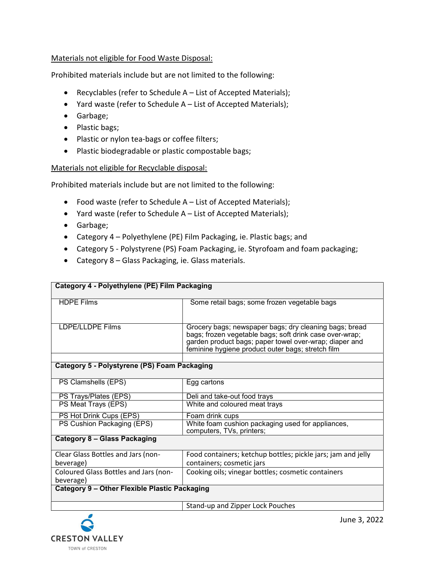## Materials not eligible for Food Waste Disposal:

Prohibited materials include but are not limited to the following:

- Recyclables (refer to Schedule A List of Accepted Materials);
- Yard waste (refer to Schedule A List of Accepted Materials);
- Garbage;
- Plastic bags;
- Plastic or nylon tea-bags or coffee filters;
- Plastic biodegradable or plastic compostable bags;

#### Materials not eligible for Recyclable disposal:

Category 4 - Polyethylene (PE) Film Packaging

Prohibited materials include but are not limited to the following:

- Food waste (refer to Schedule A List of Accepted Materials);
- Yard waste (refer to Schedule A List of Accepted Materials);
- Garbage;
- Category 4 Polyethylene (PE) Film Packaging, ie. Plastic bags; and
- Category 5 Polystyrene (PS) Foam Packaging, ie. Styrofoam and foam packaging;
- Category 8 Glass Packaging, ie. Glass materials.

| <b>HDPE Films</b>                                  | Some retail bags; some frozen vegetable bags                                                                                                                                                                                     |
|----------------------------------------------------|----------------------------------------------------------------------------------------------------------------------------------------------------------------------------------------------------------------------------------|
|                                                    |                                                                                                                                                                                                                                  |
| <b>LDPE/LLDPE Films</b>                            | Grocery bags; newspaper bags; dry cleaning bags; bread<br>bags; frozen vegetable bags; soft drink case over-wrap;<br>garden product bags; paper towel over-wrap; diaper and<br>feminine hygiene product outer bags; stretch film |
|                                                    |                                                                                                                                                                                                                                  |
| Category 5 - Polystyrene (PS) Foam Packaging       |                                                                                                                                                                                                                                  |
| PS Clamshells (EPS)                                | Egg cartons                                                                                                                                                                                                                      |
| PS Trays/Plates (EPS)                              | Deli and take-out food trays                                                                                                                                                                                                     |
| PS Meat Trays (EPS)                                | White and coloured meat trays                                                                                                                                                                                                    |
| PS Hot Drink Cups (EPS)                            | Foam drink cups                                                                                                                                                                                                                  |
| PS Cushion Packaging (EPS)                         | White foam cushion packaging used for appliances,<br>computers, TVs, printers;                                                                                                                                                   |
| <b>Category 8 - Glass Packaging</b>                |                                                                                                                                                                                                                                  |
| Clear Glass Bottles and Jars (non-                 | Food containers; ketchup bottles; pickle jars; jam and jelly                                                                                                                                                                     |
| beverage)                                          | containers; cosmetic jars                                                                                                                                                                                                        |
| Coloured Glass Bottles and Jars (non-<br>beverage) | Cooking oils; vinegar bottles; cosmetic containers                                                                                                                                                                               |
| Category 9 - Other Flexible Plastic Packaging      |                                                                                                                                                                                                                                  |
|                                                    | Stand-up and Zipper Lock Pouches                                                                                                                                                                                                 |